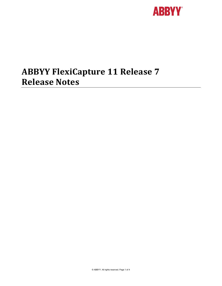

# **ABBYY FlexiCapture 11 Release 7 Release Notes**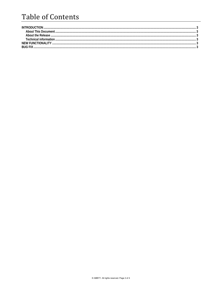## **Table of Contents**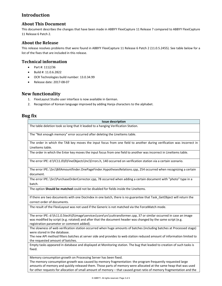## **Introduction**

### **About This Document**

This document describes the changes that have been made in ABBYY FlexiCapture 11 Release 7 compared to ABBYY FlexiCapture 11 Release 6 Patch 2.

#### **About the Release**

This release resolves problems that were found in ABBYY FlexiCapture 11 Release 6 Patch 2 (11.0.5.2455). See table below for a list of the fixes that are included in this release.

#### **Technical information**

- Part #: 1112/36
- Build #: 11.0.6.2822
- OCR Technologies build number: 13.0.34.99
- Release date: 2017‐08‐07

## **New functionality**

- 1. FlexiLayout Studio user interface is now available in German.
- 2. Recognition of Korean language improved by adding Hanja characters to the alphabet.

## **Bug fix**

| <b>Issue description</b>                                                                                                                                                                                                                                                           |
|------------------------------------------------------------------------------------------------------------------------------------------------------------------------------------------------------------------------------------------------------------------------------------|
| The table deletion took so long that it leaded to a hanging Verification Station.                                                                                                                                                                                                  |
| The "Not enough memory" error occurred after deleting the LineItems table.                                                                                                                                                                                                         |
| The order in which the TAB key moves the input focus from one field to another during verification was incorrect in<br>LineItems table.                                                                                                                                            |
| The order in which the Enter key moves the input focus from one field to another was incorrect in Lineltems table.                                                                                                                                                                 |
| The error IPE: d:\FC11.0\0\FineObjects\Inc\Errors.h, 140 occurred on verification station via a certain scenario.                                                                                                                                                                  |
| The error IPE:.\Src\BillAmountfinder.OnePageFinder.HypothesesRelations.cpp, 254 occurred when recognizing a certain<br>document.                                                                                                                                                   |
| The error IPE:.\Src\PurchaseOrderCorrector.cpp, 78 occurred when adding a certain document with "photo" type in a<br>batch.                                                                                                                                                        |
| The option Should be matched could not be disabled for fields inside the LineItems.                                                                                                                                                                                                |
| If there are two documents with one DocIndex in one batch, there is no guarantee that Task GetObject will return the<br>correct order of documents.                                                                                                                                |
| The result of the FlexiLayout was not used if the Generic is not matched via the ForceMatch mode.                                                                                                                                                                                  |
| The error IPE: d:\fc11.0.5tech\0\image\services\core\src\cuttransformer.cpp, 37 or similar occurred in case an image<br>was modified by script (e.g. rotated) and after that the document header was changed by the same script (e.g.<br>registration parameter or comment added). |
| The slowness of web verification station occurred when huge amounts of batches (including batches at Processed stage)<br>were stored in the database.                                                                                                                              |
| The new API method filters batches at server side and provides to web station reduced amount of information limited to<br>the requested amount of batches.                                                                                                                         |
| Empty tasks appeared in database and displayed at Monitoring station. The bug that leaded to creation of such tasks is<br>fixed.                                                                                                                                                   |
| Memory consumption growth on Processing Server has been fixed.<br>The memory consumption growth was caused by memory fragmentation: the program frequently requested large                                                                                                         |
| amounts of memory and quickly released them. Those parts of memory were allocated at the same heap that was used                                                                                                                                                                   |

for other requests for allocation of small amount of memory – that caused great ratio of memory fragmentation and the